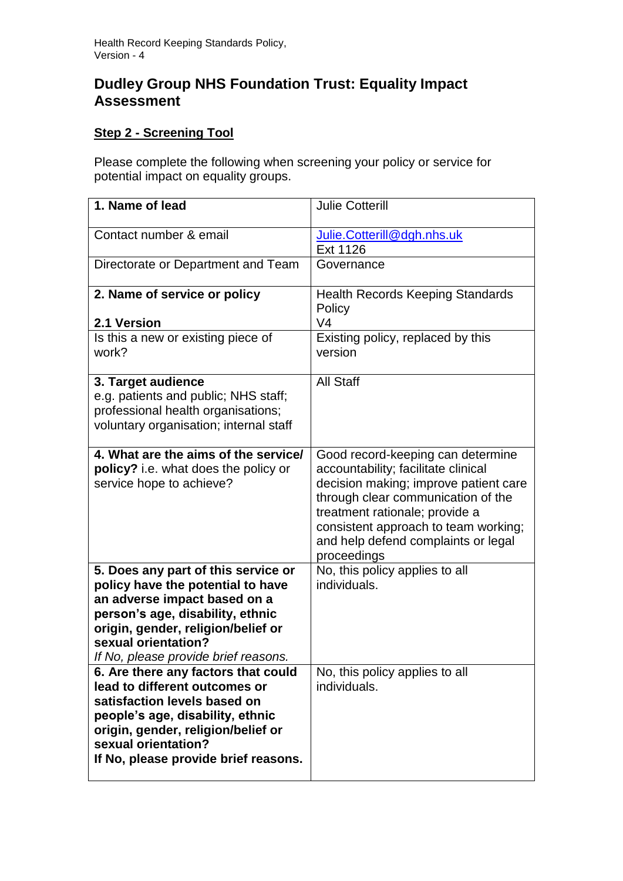# **Dudley Group NHS Foundation Trust: Equality Impact Assessment**

# **Step 2 - Screening Tool**

Please complete the following when screening your policy or service for potential impact on equality groups.

| 1. Name of lead                                                                                                                                                                                                                                   | <b>Julie Cotterill</b>                                                                                                                                                                                                                                                                  |
|---------------------------------------------------------------------------------------------------------------------------------------------------------------------------------------------------------------------------------------------------|-----------------------------------------------------------------------------------------------------------------------------------------------------------------------------------------------------------------------------------------------------------------------------------------|
| Contact number & email                                                                                                                                                                                                                            | Julie.Cotterill@dgh.nhs.uk<br>Ext 1126                                                                                                                                                                                                                                                  |
| Directorate or Department and Team                                                                                                                                                                                                                | Governance                                                                                                                                                                                                                                                                              |
| 2. Name of service or policy                                                                                                                                                                                                                      | <b>Health Records Keeping Standards</b><br>Policy                                                                                                                                                                                                                                       |
| 2.1 Version                                                                                                                                                                                                                                       | V <sub>4</sub>                                                                                                                                                                                                                                                                          |
| Is this a new or existing piece of<br>work?                                                                                                                                                                                                       | Existing policy, replaced by this<br>version                                                                                                                                                                                                                                            |
| 3. Target audience<br>e.g. patients and public; NHS staff;<br>professional health organisations;<br>voluntary organisation; internal staff                                                                                                        | <b>All Staff</b>                                                                                                                                                                                                                                                                        |
| 4. What are the aims of the service/<br>policy? i.e. what does the policy or<br>service hope to achieve?                                                                                                                                          | Good record-keeping can determine<br>accountability; facilitate clinical<br>decision making; improve patient care<br>through clear communication of the<br>treatment rationale; provide a<br>consistent approach to team working;<br>and help defend complaints or legal<br>proceedings |
| 5. Does any part of this service or<br>policy have the potential to have<br>an adverse impact based on a<br>person's age, disability, ethnic<br>origin, gender, religion/belief or<br>sexual orientation?<br>If No, please provide brief reasons. | No, this policy applies to all<br>individuals.                                                                                                                                                                                                                                          |
| 6. Are there any factors that could<br>lead to different outcomes or<br>satisfaction levels based on<br>people's age, disability, ethnic<br>origin, gender, religion/belief or<br>sexual orientation?<br>If No, please provide brief reasons.     | No, this policy applies to all<br>individuals.                                                                                                                                                                                                                                          |